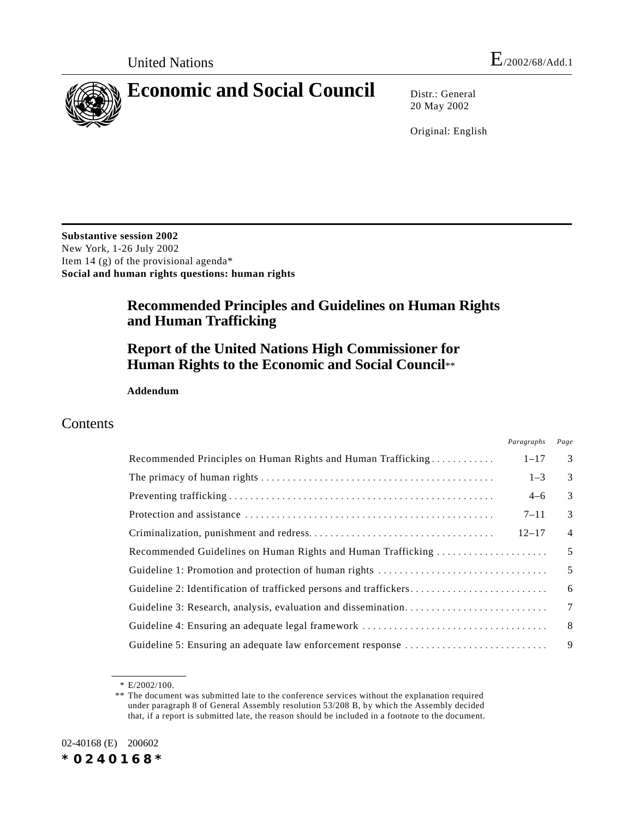

20 May 2002

Original: English

**Substantive session 2002** New York, 1-26 July 2002 Item 14 (g) of the provisional agenda\* **Social and human rights questions: human rights**

# **Recommended Principles and Guidelines on Human Rights and Human Trafficking**

# **Report of the United Nations High Commissioner for Human Rights to the Economic and Social Council**\*\*

**Addendum**

# **Contents**

|                                                                   | Paragraphs | Page           |
|-------------------------------------------------------------------|------------|----------------|
| Recommended Principles on Human Rights and Human Trafficking      | $1 - 17$   | 3              |
|                                                                   | $1 - 3$    | 3              |
|                                                                   | $4 - 6$    | 3              |
|                                                                   | $7 - 11$   | 3              |
|                                                                   | $12 - 17$  | $\overline{4}$ |
|                                                                   |            | 5              |
|                                                                   |            | 5              |
| Guideline 2: Identification of trafficked persons and traffickers |            | - 6            |
|                                                                   |            | $\tau$         |
|                                                                   |            | 8              |
| Guideline 5: Ensuring an adequate law enforcement response        |            | 9              |

<sup>\*\*</sup> The document was submitted late to the conference services without the explanation required under paragraph 8 of General Assembly resolution 53/208 B, by which the Assembly decided that, if a report is submitted late, the reason should be included in a footnote to the document.



<sup>\*</sup> E/2002/100.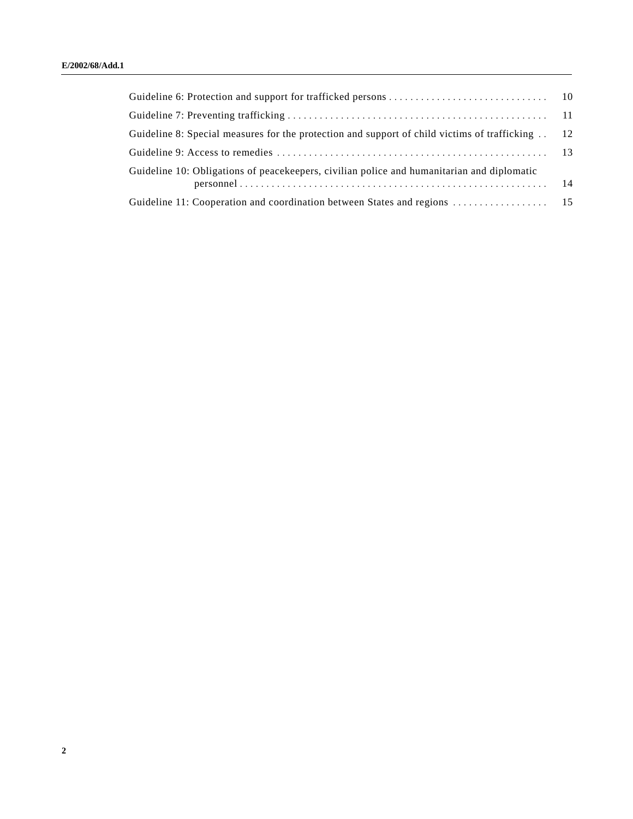| Guideline 8: Special measures for the protection and support of child victims of trafficking 12 |  |
|-------------------------------------------------------------------------------------------------|--|
|                                                                                                 |  |
| Guideline 10: Obligations of peacekeepers, civilian police and humanitarian and diplomatic      |  |
|                                                                                                 |  |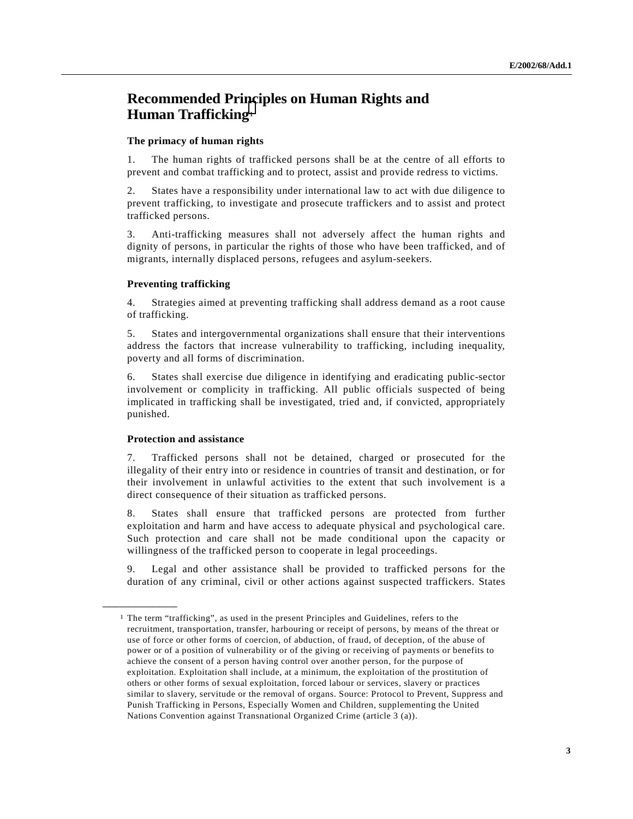# **Recommended Principles on Human Rights and Human Trafficking**<sup>1</sup>

#### **The primacy of human rights**

1. The human rights of trafficked persons shall be at the centre of all efforts to prevent and combat trafficking and to protect, assist and provide redress to victims.

2. States have a responsibility under international law to act with due diligence to prevent trafficking, to investigate and prosecute traffickers and to assist and protect trafficked persons.

3. Anti-trafficking measures shall not adversely affect the human rights and dignity of persons, in particular the rights of those who have been trafficked, and of migrants, internally displaced persons, refugees and asylum-seekers.

#### **Preventing trafficking**

4. Strategies aimed at preventing trafficking shall address demand as a root cause of trafficking.

5. States and intergovernmental organizations shall ensure that their interventions address the factors that increase vulnerability to trafficking, including inequality, poverty and all forms of discrimination.

6. States shall exercise due diligence in identifying and eradicating public-sector involvement or complicity in trafficking. All public officials suspected of being implicated in trafficking shall be investigated, tried and, if convicted, appropriately punished.

#### **Protection and assistance**

**\_\_\_\_\_\_\_\_\_\_\_\_\_\_\_\_\_\_**

7. Trafficked persons shall not be detained, charged or prosecuted for the illegality of their entry into or residence in countries of transit and destination, or for their involvement in unlawful activities to the extent that such involvement is a direct consequence of their situation as trafficked persons.

8. States shall ensure that trafficked persons are protected from further exploitation and harm and have access to adequate physical and psychological care. Such protection and care shall not be made conditional upon the capacity or willingness of the trafficked person to cooperate in legal proceedings.

9. Legal and other assistance shall be provided to trafficked persons for the duration of any criminal, civil or other actions against suspected traffickers. States

<sup>1</sup> The term "trafficking", as used in the present Principles and Guidelines, refers to the recruitment, transportation, transfer, harbouring or receipt of persons, by means of the threat or use of force or other forms of coercion, of abduction, of fraud, of deception, of the abuse of power or of a position of vulnerability or of the giving or receiving of payments or benefits to achieve the consent of a person having control over another person, for the purpose of exploitation. Exploitation shall include, at a minimum, the exploitation of the prostitution of others or other forms of sexual exploitation, forced labour or services, slavery or practices similar to slavery, servitude or the removal of organs. Source: Protocol to Prevent, Suppress and Punish Trafficking in Persons, Especially Women and Children, supplementing the United Nations Convention against Transnational Organized Crime (article 3 (a)).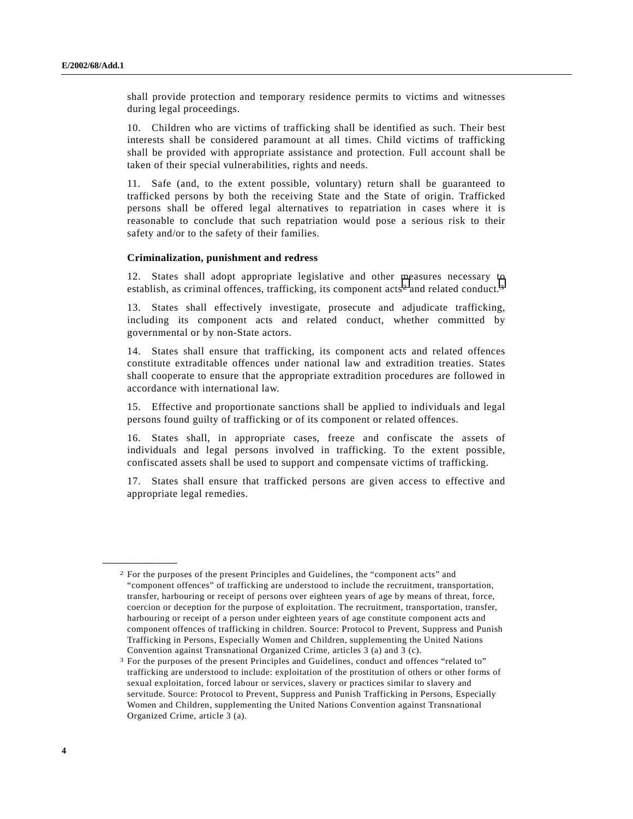shall provide protection and temporary residence permits to victims and witnesses during legal proceedings.

10. Children who are victims of trafficking shall be identified as such. Their best interests shall be considered paramount at all times. Child victims of trafficking shall be provided with appropriate assistance and protection. Full account shall be taken of their special vulnerabilities, rights and needs.

11. Safe (and, to the extent possible, voluntary) return shall be guaranteed to trafficked persons by both the receiving State and the State of origin. Trafficked persons shall be offered legal alternatives to repatriation in cases where it is reasonable to conclude that such repatriation would pose a serious risk to their safety and/or to the safety of their families.

#### **Criminalization, punishment and redress**

12. States shall adopt appropriate legislative and other measures necessary to establish, as criminal offences, trafficking, its component  $\arctan 2$  and related conduct.<sup>3</sup>

13. States shall effectively investigate, prosecute and adjudicate trafficking, including its component acts and related conduct, whether committed by governmental or by non-State actors.

14. States shall ensure that trafficking, its component acts and related offences constitute extraditable offences under national law and extradition treaties. States shall cooperate to ensure that the appropriate extradition procedures are followed in accordance with international law.

15. Effective and proportionate sanctions shall be applied to individuals and legal persons found guilty of trafficking or of its component or related offences.

16. States shall, in appropriate cases, freeze and confiscate the assets of individuals and legal persons involved in trafficking. To the extent possible, confiscated assets shall be used to support and compensate victims of trafficking.

17. States shall ensure that trafficked persons are given access to effective and appropriate legal remedies.

<sup>2</sup> For the purposes of the present Principles and Guidelines, the "component acts" and "component offences" of trafficking are understood to include the recruitment, transportation, transfer, harbouring or receipt of persons over eighteen years of age by means of threat, force, coercion or deception for the purpose of exploitation. The recruitment, transportation, transfer, harbouring or receipt of a person under eighteen years of age constitute component acts and component offences of trafficking in children. Source: Protocol to Prevent, Suppress and Punish Trafficking in Persons, Especially Women and Children, supplementing the United Nations Convention against Transnational Organized Crime, articles 3 (a) and 3 (c).

<sup>3</sup> For the purposes of the present Principles and Guidelines, conduct and offences "related to" trafficking are understood to include: exploitation of the prostitution of others or other forms of sexual exploitation, forced labour or services, slavery or practices similar to slavery and servitude. Source: Protocol to Prevent, Suppress and Punish Trafficking in Persons, Especially Women and Children, supplementing the United Nations Convention against Transnational Organized Crime, article 3 (a).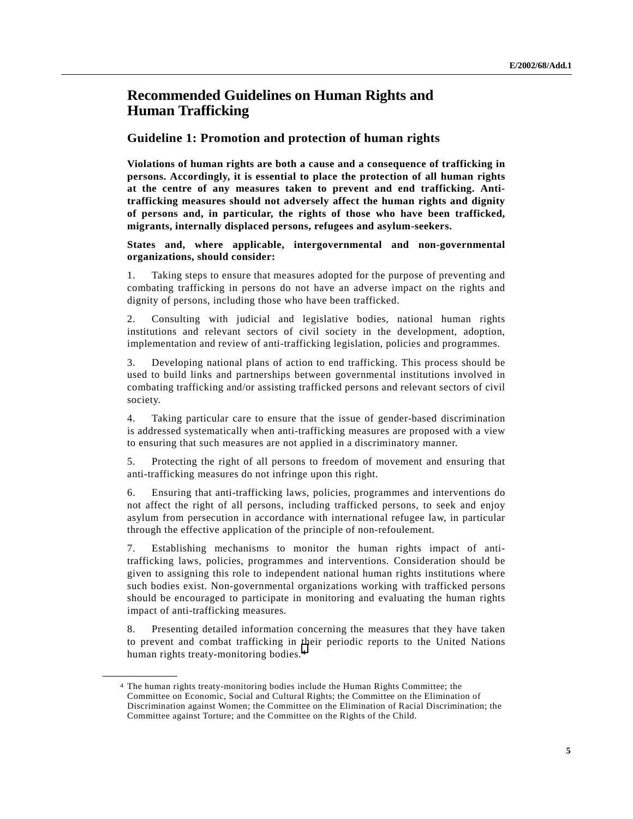# **Recommended Guidelines on Human Rights and Human Trafficking**

### **Guideline 1: Promotion and protection of human rights**

**Violations of human rights are both a cause and a consequence of trafficking in persons. Accordingly, it is essential to place the protection of all human rights at the centre of any measures taken to prevent and end trafficking. Antitrafficking measures should not adversely affect the human rights and dignity of persons and, in particular, the rights of those who have been trafficked, migrants, internally displaced persons, refugees and asylum-seekers.**

**States and, where applicable, intergovernmental and non-governmental organizations, should consider:**

1. Taking steps to ensure that measures adopted for the purpose of preventing and combating trafficking in persons do not have an adverse impact on the rights and dignity of persons, including those who have been trafficked.

2. Consulting with judicial and legislative bodies, national human rights institutions and relevant sectors of civil society in the development, adoption, implementation and review of anti-trafficking legislation, policies and programmes.

3. Developing national plans of action to end trafficking. This process should be used to build links and partnerships between governmental institutions involved in combating trafficking and/or assisting trafficked persons and relevant sectors of civil society.

4. Taking particular care to ensure that the issue of gender-based discrimination is addressed systematically when anti-trafficking measures are proposed with a view to ensuring that such measures are not applied in a discriminatory manner.

5. Protecting the right of all persons to freedom of movement and ensuring that anti-trafficking measures do not infringe upon this right.

6. Ensuring that anti-trafficking laws, policies, programmes and interventions do not affect the right of all persons, including trafficked persons, to seek and enjoy asylum from persecution in accordance with international refugee law, in particular through the effective application of the principle of non-refoulement.

7. Establishing mechanisms to monitor the human rights impact of antitrafficking laws, policies, programmes and interventions. Consideration should be given to assigning this role to independent national human rights institutions where such bodies exist. Non-governmental organizations working with trafficked persons should be encouraged to participate in monitoring and evaluating the human rights impact of anti-trafficking measures.

8. Presenting detailed information concerning the measures that they have taken to prevent and combat trafficking in their periodic reports to the United Nations human rights treaty-monitoring bodies.4

<sup>4</sup> The human rights treaty-monitoring bodies include the Human Rights Committee; the Committee on Economic, Social and Cultural Rights; the Committee on the Elimination of Discrimination against Women; the Committee on the Elimination of Racial Discrimination; the Committee against Torture; and the Committee on the Rights of the Child.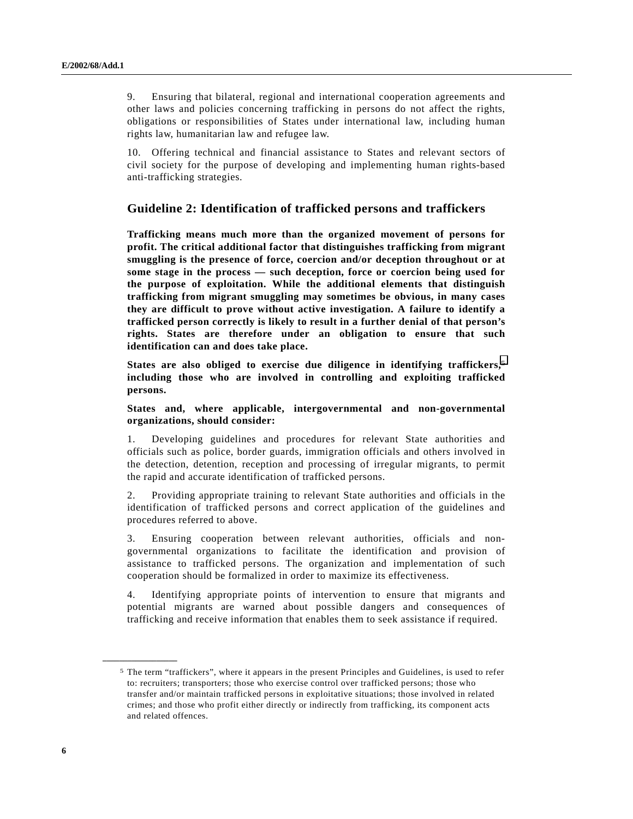9. Ensuring that bilateral, regional and international cooperation agreements and other laws and policies concerning trafficking in persons do not affect the rights, obligations or responsibilities of States under international law, including human rights law, humanitarian law and refugee law.

10. Offering technical and financial assistance to States and relevant sectors of civil society for the purpose of developing and implementing human rights-based anti-trafficking strategies.

## **Guideline 2: Identification of trafficked persons and traffickers**

**Trafficking means much more than the organized movement of persons for profit. The critical additional factor that distinguishes trafficking from migrant smuggling is the presence of force, coercion and/or deception throughout or at some stage in the process — such deception, force or coercion being used for the purpose of exploitation. While the additional elements that distinguish trafficking from migrant smuggling may sometimes be obvious, in many cases they are difficult to prove without active investigation. A failure to identify a trafficked person correctly is likely to result in a further denial of that person's rights. States are therefore under an obligation to ensure that such identification can and does take place.**

**States are also obliged to exercise due diligence in identifying traffickers,**5 **including those who are involved in controlling and exploiting trafficked persons.**

### **States and, where applicable, intergovernmental and non-governmental organizations, should consider:**

1. Developing guidelines and procedures for relevant State authorities and officials such as police, border guards, immigration officials and others involved in the detection, detention, reception and processing of irregular migrants, to permit the rapid and accurate identification of trafficked persons.

2. Providing appropriate training to relevant State authorities and officials in the identification of trafficked persons and correct application of the guidelines and procedures referred to above.

3. Ensuring cooperation between relevant authorities, officials and nongovernmental organizations to facilitate the identification and provision of assistance to trafficked persons. The organization and implementation of such cooperation should be formalized in order to maximize its effectiveness.

4. Identifying appropriate points of intervention to ensure that migrants and potential migrants are warned about possible dangers and consequences of trafficking and receive information that enables them to seek assistance if required.

<sup>5</sup> The term "traffickers", where it appears in the present Principles and Guidelines, is used to refer to: recruiters; transporters; those who exercise control over trafficked persons; those who transfer and/or maintain trafficked persons in exploitative situations; those involved in related crimes; and those who profit either directly or indirectly from trafficking, its component acts and related offences.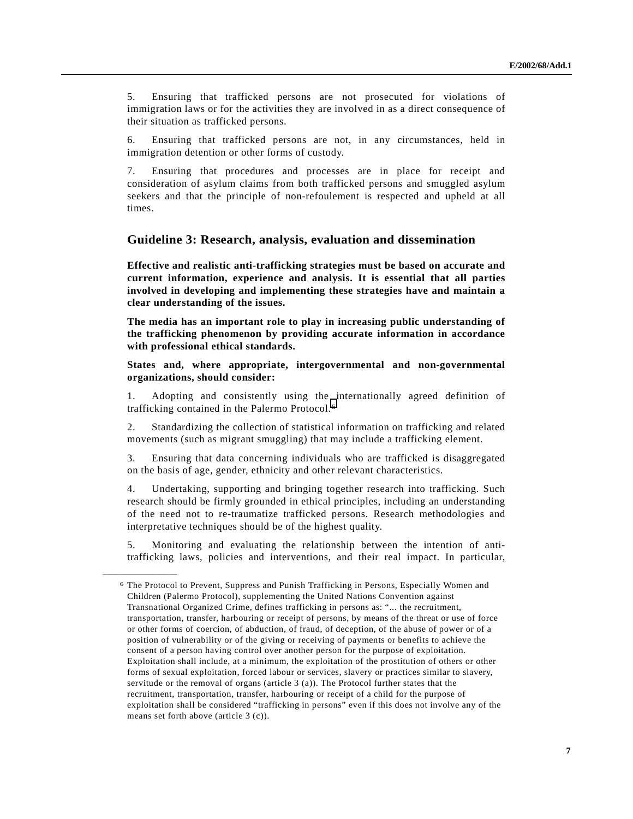5. Ensuring that trafficked persons are not prosecuted for violations of immigration laws or for the activities they are involved in as a direct consequence of their situation as trafficked persons.

6. Ensuring that trafficked persons are not, in any circumstances, held in immigration detention or other forms of custody.

7. Ensuring that procedures and processes are in place for receipt and consideration of asylum claims from both trafficked persons and smuggled asylum seekers and that the principle of non-refoulement is respected and upheld at all times.

#### **Guideline 3: Research, analysis, evaluation and dissemination**

**Effective and realistic anti-trafficking strategies must be based on accurate and current information, experience and analysis. It is essential that all parties involved in developing and implementing these strategies have and maintain a clear understanding of the issues.**

**The media has an important role to play in increasing public understanding of the trafficking phenomenon by providing accurate information in accordance with professional ethical standards.**

**States and, where appropriate, intergovernmental and non-governmental organizations, should consider:**

1. Adopting and consistently using the internationally agreed definition of trafficking contained in the Palermo Protocol.6

2. Standardizing the collection of statistical information on trafficking and related movements (such as migrant smuggling) that may include a trafficking element.

3. Ensuring that data concerning individuals who are trafficked is disaggregated on the basis of age, gender, ethnicity and other relevant characteristics.

4. Undertaking, supporting and bringing together research into trafficking. Such research should be firmly grounded in ethical principles, including an understanding of the need not to re-traumatize trafficked persons. Research methodologies and interpretative techniques should be of the highest quality.

5. Monitoring and evaluating the relationship between the intention of antitrafficking laws, policies and interventions, and their real impact. In particular,

<sup>6</sup> The Protocol to Prevent, Suppress and Punish Trafficking in Persons, Especially Women and Children (Palermo Protocol), supplementing the United Nations Convention against Transnational Organized Crime, defines trafficking in persons as: "... the recruitment, transportation, transfer, harbouring or receipt of persons, by means of the threat or use of force or other forms of coercion, of abduction, of fraud, of deception, of the abuse of power or of a position of vulnerability or of the giving or receiving of payments or benefits to achieve the consent of a person having control over another person for the purpose of exploitation. Exploitation shall include, at a minimum, the exploitation of the prostitution of others or other forms of sexual exploitation, forced labour or services, slavery or practices similar to slavery, servitude or the removal of organs (article 3 (a)). The Protocol further states that the recruitment, transportation, transfer, harbouring or receipt of a child for the purpose of exploitation shall be considered "trafficking in persons" even if this does not involve any of the means set forth above (article 3 (c)).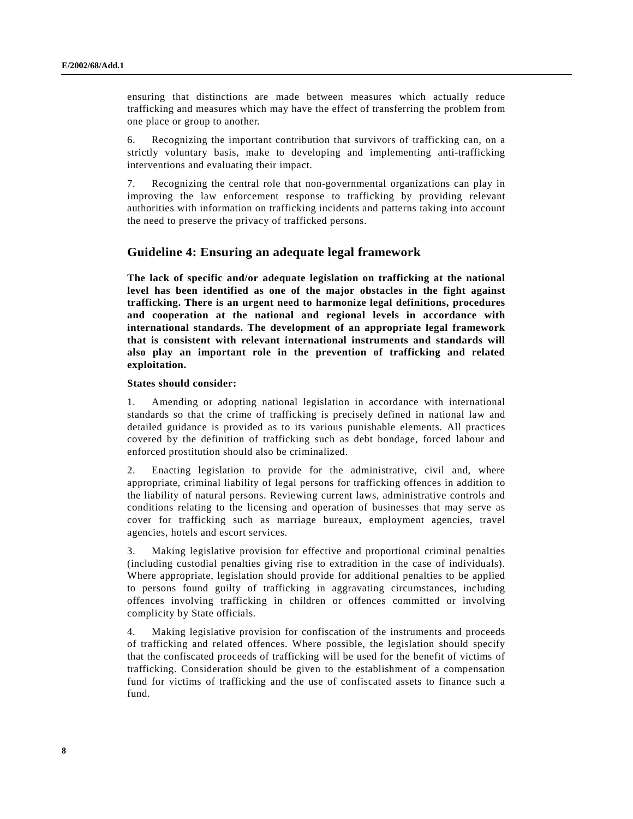ensuring that distinctions are made between measures which actually reduce trafficking and measures which may have the effect of transferring the problem from one place or group to another.

6. Recognizing the important contribution that survivors of trafficking can, on a strictly voluntary basis, make to developing and implementing anti-trafficking interventions and evaluating their impact.

7. Recognizing the central role that non-governmental organizations can play in improving the law enforcement response to trafficking by providing relevant authorities with information on trafficking incidents and patterns taking into account the need to preserve the privacy of trafficked persons.

## **Guideline 4: Ensuring an adequate legal framework**

**The lack of specific and/or adequate legislation on trafficking at the national level has been identified as one of the major obstacles in the fight against trafficking. There is an urgent need to harmonize legal definitions, procedures and cooperation at the national and regional levels in accordance with international standards. The development of an appropriate legal framework that is consistent with relevant international instruments and standards will also play an important role in the prevention of trafficking and related exploitation.**

#### **States should consider:**

1. Amending or adopting national legislation in accordance with international standards so that the crime of trafficking is precisely defined in national law and detailed guidance is provided as to its various punishable elements. All practices covered by the definition of trafficking such as debt bondage, forced labour and enforced prostitution should also be criminalized.

2. Enacting legislation to provide for the administrative, civil and, where appropriate, criminal liability of legal persons for trafficking offences in addition to the liability of natural persons. Reviewing current laws, administrative controls and conditions relating to the licensing and operation of businesses that may serve as cover for trafficking such as marriage bureaux, employment agencies, travel agencies, hotels and escort services.

3. Making legislative provision for effective and proportional criminal penalties (including custodial penalties giving rise to extradition in the case of individuals). Where appropriate, legislation should provide for additional penalties to be applied to persons found guilty of trafficking in aggravating circumstances, including offences involving trafficking in children or offences committed or involving complicity by State officials.

4. Making legislative provision for confiscation of the instruments and proceeds of trafficking and related offences. Where possible, the legislation should specify that the confiscated proceeds of trafficking will be used for the benefit of victims of trafficking. Consideration should be given to the establishment of a compensation fund for victims of trafficking and the use of confiscated assets to finance such a fund.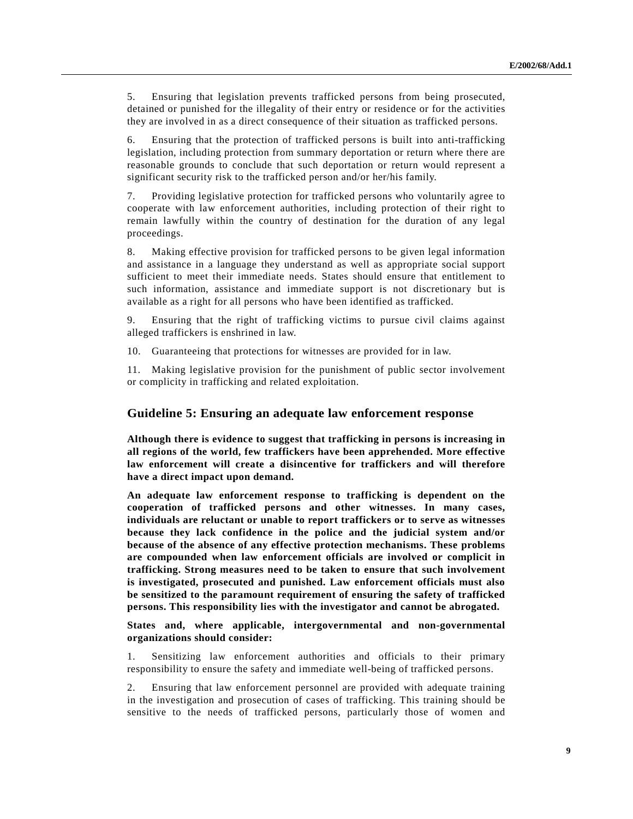5. Ensuring that legislation prevents trafficked persons from being prosecuted, detained or punished for the illegality of their entry or residence or for the activities they are involved in as a direct consequence of their situation as trafficked persons.

6. Ensuring that the protection of trafficked persons is built into anti-trafficking legislation, including protection from summary deportation or return where there are reasonable grounds to conclude that such deportation or return would represent a significant security risk to the trafficked person and/or her/his family.

7. Providing legislative protection for trafficked persons who voluntarily agree to cooperate with law enforcement authorities, including protection of their right to remain lawfully within the country of destination for the duration of any legal proceedings.

8. Making effective provision for trafficked persons to be given legal information and assistance in a language they understand as well as appropriate social support sufficient to meet their immediate needs. States should ensure that entitlement to such information, assistance and immediate support is not discretionary but is available as a right for all persons who have been identified as trafficked.

9. Ensuring that the right of trafficking victims to pursue civil claims against alleged traffickers is enshrined in law.

10. Guaranteeing that protections for witnesses are provided for in law.

11. Making legislative provision for the punishment of public sector involvement or complicity in trafficking and related exploitation.

### **Guideline 5: Ensuring an adequate law enforcement response**

**Although there is evidence to suggest that trafficking in persons is increasing in all regions of the world, few traffickers have been apprehended. More effective law enforcement will create a disincentive for traffickers and will therefore have a direct impact upon demand.**

**An adequate law enforcement response to trafficking is dependent on the cooperation of trafficked persons and other witnesses. In many cases, individuals are reluctant or unable to report traffickers or to serve as witnesses because they lack confidence in the police and the judicial system and/or because of the absence of any effective protection mechanisms. These problems are compounded when law enforcement officials are involved or complicit in trafficking. Strong measures need to be taken to ensure that such involvement is investigated, prosecuted and punished. Law enforcement officials must also be sensitized to the paramount requirement of ensuring the safety of trafficked persons. This responsibility lies with the investigator and cannot be abrogated.**

**States and, where applicable, intergovernmental and non-governmental organizations should consider:**

1. Sensitizing law enforcement authorities and officials to their primary responsibility to ensure the safety and immediate well-being of trafficked persons.

2. Ensuring that law enforcement personnel are provided with adequate training in the investigation and prosecution of cases of trafficking. This training should be sensitive to the needs of trafficked persons, particularly those of women and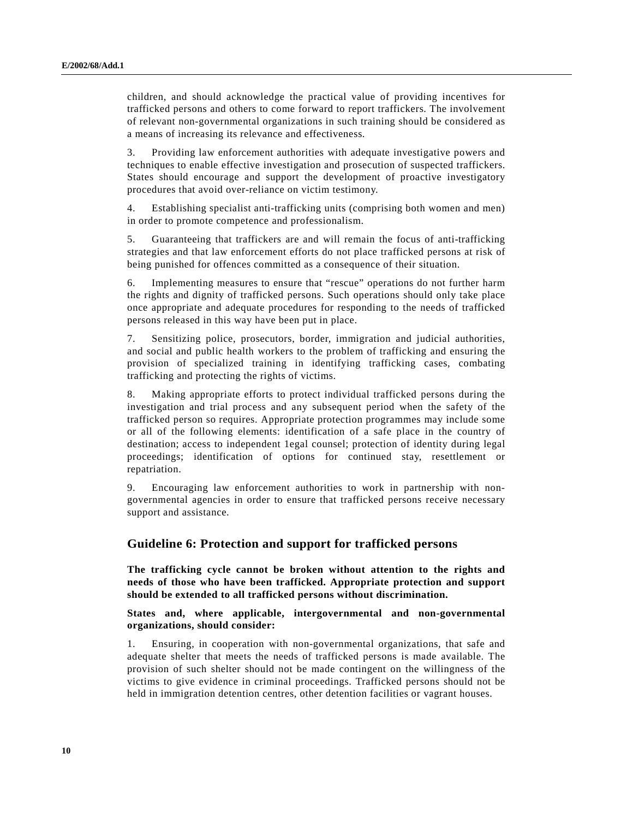children, and should acknowledge the practical value of providing incentives for trafficked persons and others to come forward to report traffickers. The involvement of relevant non-governmental organizations in such training should be considered as a means of increasing its relevance and effectiveness.

3. Providing law enforcement authorities with adequate investigative powers and techniques to enable effective investigation and prosecution of suspected traffickers. States should encourage and support the development of proactive investigatory procedures that avoid over-reliance on victim testimony.

4. Establishing specialist anti-trafficking units (comprising both women and men) in order to promote competence and professionalism.

5. Guaranteeing that traffickers are and will remain the focus of anti-trafficking strategies and that law enforcement efforts do not place trafficked persons at risk of being punished for offences committed as a consequence of their situation.

6. Implementing measures to ensure that "rescue" operations do not further harm the rights and dignity of trafficked persons. Such operations should only take place once appropriate and adequate procedures for responding to the needs of trafficked persons released in this way have been put in place.

7. Sensitizing police, prosecutors, border, immigration and judicial authorities, and social and public health workers to the problem of trafficking and ensuring the provision of specialized training in identifying trafficking cases, combating trafficking and protecting the rights of victims.

8. Making appropriate efforts to protect individual trafficked persons during the investigation and trial process and any subsequent period when the safety of the trafficked person so requires. Appropriate protection programmes may include some or all of the following elements: identification of a safe place in the country of destination; access to independent 1egal counsel; protection of identity during legal proceedings; identification of options for continued stay, resettlement or repatriation.

9. Encouraging law enforcement authorities to work in partnership with nongovernmental agencies in order to ensure that trafficked persons receive necessary support and assistance.

### **Guideline 6: Protection and support for trafficked persons**

**The trafficking cycle cannot be broken without attention to the rights and needs of those who have been trafficked. Appropriate protection and support should be extended to all trafficked persons without discrimination.**

#### **States and, where applicable, intergovernmental and non-governmental organizations, should consider:**

1. Ensuring, in cooperation with non-governmental organizations, that safe and adequate shelter that meets the needs of trafficked persons is made available. The provision of such shelter should not be made contingent on the willingness of the victims to give evidence in criminal proceedings. Trafficked persons should not be held in immigration detention centres, other detention facilities or vagrant houses.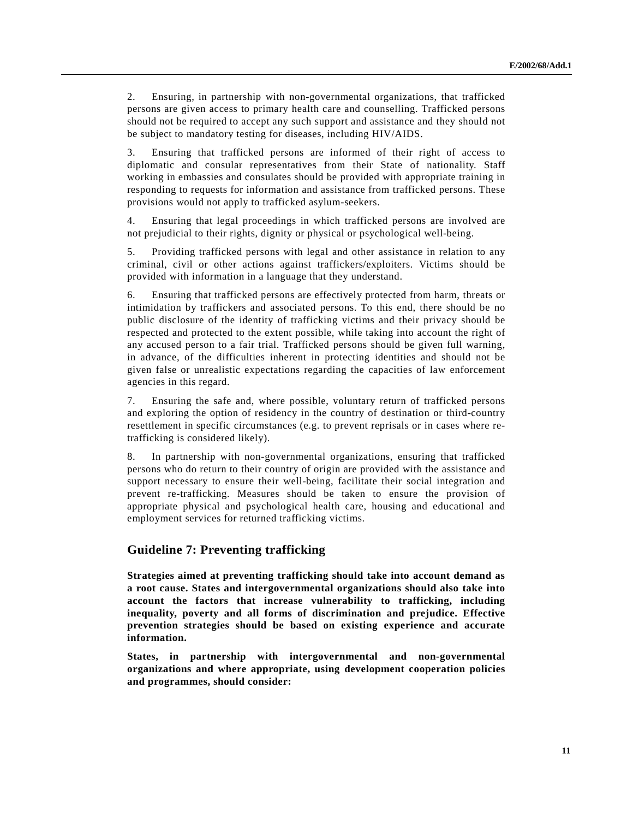2. Ensuring, in partnership with non-governmental organizations, that trafficked persons are given access to primary health care and counselling. Trafficked persons should not be required to accept any such support and assistance and they should not be subject to mandatory testing for diseases, including HIV/AIDS.

3. Ensuring that trafficked persons are informed of their right of access to diplomatic and consular representatives from their State of nationality. Staff working in embassies and consulates should be provided with appropriate training in responding to requests for information and assistance from trafficked persons. These provisions would not apply to trafficked asylum-seekers.

4. Ensuring that legal proceedings in which trafficked persons are involved are not prejudicial to their rights, dignity or physical or psychological well-being.

5. Providing trafficked persons with legal and other assistance in relation to any criminal, civil or other actions against traffickers/exploiters. Victims should be provided with information in a language that they understand.

6. Ensuring that trafficked persons are effectively protected from harm, threats or intimidation by traffickers and associated persons. To this end, there should be no public disclosure of the identity of trafficking victims and their privacy should be respected and protected to the extent possible, while taking into account the right of any accused person to a fair trial. Trafficked persons should be given full warning, in advance, of the difficulties inherent in protecting identities and should not be given false or unrealistic expectations regarding the capacities of law enforcement agencies in this regard.

7. Ensuring the safe and, where possible, voluntary return of trafficked persons and exploring the option of residency in the country of destination or third-country resettlement in specific circumstances (e.g. to prevent reprisals or in cases where retrafficking is considered likely).

8. In partnership with non-governmental organizations, ensuring that trafficked persons who do return to their country of origin are provided with the assistance and support necessary to ensure their well-being, facilitate their social integration and prevent re-trafficking. Measures should be taken to ensure the provision of appropriate physical and psychological health care, housing and educational and employment services for returned trafficking victims.

## **Guideline 7: Preventing trafficking**

**Strategies aimed at preventing trafficking should take into account demand as a root cause. States and intergovernmental organizations should also take into account the factors that increase vulnerability to trafficking, including inequality, poverty and all forms of discrimination and prejudice. Effective prevention strategies should be based on existing experience and accurate information.**

**States, in partnership with intergovernmental and non-governmental organizations and where appropriate, using development cooperation policies and programmes, should consider:**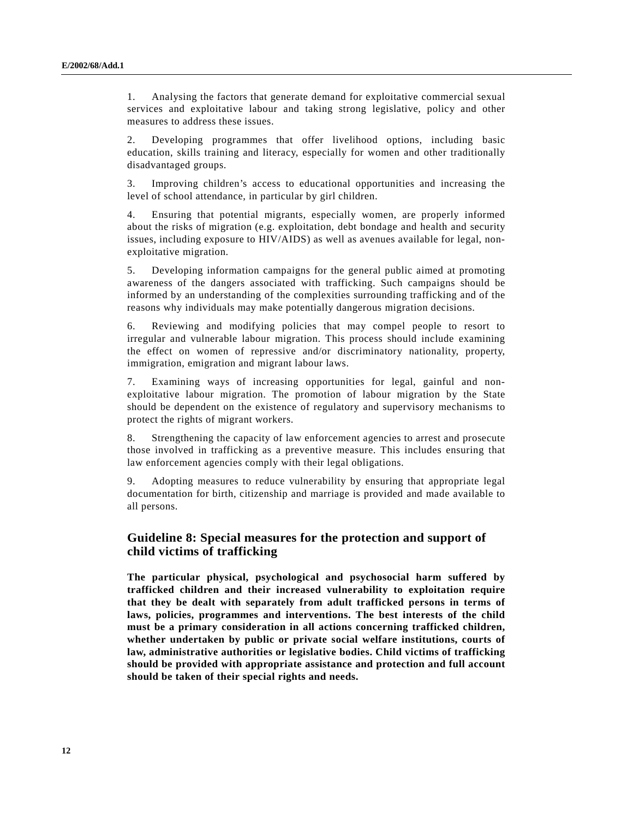1. Analysing the factors that generate demand for exploitative commercial sexual services and exploitative labour and taking strong legislative, policy and other measures to address these issues.

2. Developing programmes that offer livelihood options, including basic education, skills training and literacy, especially for women and other traditionally disadvantaged groups.

3. Improving children's access to educational opportunities and increasing the level of school attendance, in particular by girl children.

4. Ensuring that potential migrants, especially women, are properly informed about the risks of migration (e.g. exploitation, debt bondage and health and security issues, including exposure to HIV/AIDS) as well as avenues available for legal, nonexploitative migration.

5. Developing information campaigns for the general public aimed at promoting awareness of the dangers associated with trafficking. Such campaigns should be informed by an understanding of the complexities surrounding trafficking and of the reasons why individuals may make potentially dangerous migration decisions.

6. Reviewing and modifying policies that may compel people to resort to irregular and vulnerable labour migration. This process should include examining the effect on women of repressive and/or discriminatory nationality, property, immigration, emigration and migrant labour laws.

7. Examining ways of increasing opportunities for legal, gainful and nonexploitative labour migration. The promotion of labour migration by the State should be dependent on the existence of regulatory and supervisory mechanisms to protect the rights of migrant workers.

8. Strengthening the capacity of law enforcement agencies to arrest and prosecute those involved in trafficking as a preventive measure. This includes ensuring that law enforcement agencies comply with their legal obligations.

9. Adopting measures to reduce vulnerability by ensuring that appropriate legal documentation for birth, citizenship and marriage is provided and made available to all persons.

# **Guideline 8: Special measures for the protection and support of child victims of trafficking**

**The particular physical, psychological and psychosocial harm suffered by trafficked children and their increased vulnerability to exploitation require that they be dealt with separately from adult trafficked persons in terms of laws, policies, programmes and interventions. The best interests of the child must be a primary consideration in all actions concerning trafficked children, whether undertaken by public or private social welfare institutions, courts of law, administrative authorities or legislative bodies. Child victims of trafficking should be provided with appropriate assistance and protection and full account should be taken of their special rights and needs.**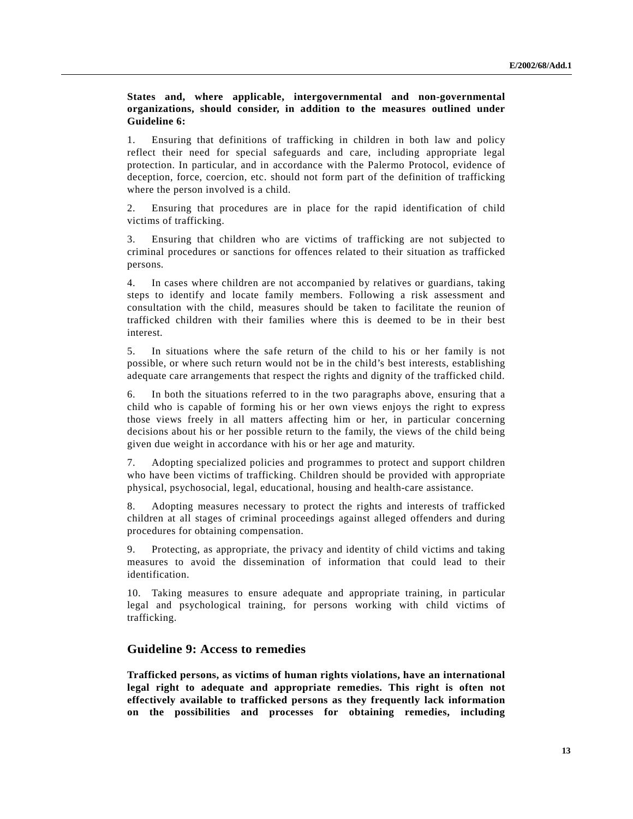**States and, where applicable, intergovernmental and non-governmental organizations, should consider, in addition to the measures outlined under Guideline 6:**

1. Ensuring that definitions of trafficking in children in both law and policy reflect their need for special safeguards and care, including appropriate legal protection. In particular, and in accordance with the Palermo Protocol, evidence of deception, force, coercion, etc. should not form part of the definition of trafficking where the person involved is a child.

2. Ensuring that procedures are in place for the rapid identification of child victims of trafficking.

3. Ensuring that children who are victims of trafficking are not subjected to criminal procedures or sanctions for offences related to their situation as trafficked persons.

4. In cases where children are not accompanied by relatives or guardians, taking steps to identify and locate family members. Following a risk assessment and consultation with the child, measures should be taken to facilitate the reunion of trafficked children with their families where this is deemed to be in their best interest.

5. In situations where the safe return of the child to his or her family is not possible, or where such return would not be in the child's best interests, establishing adequate care arrangements that respect the rights and dignity of the trafficked child.

6. In both the situations referred to in the two paragraphs above, ensuring that a child who is capable of forming his or her own views enjoys the right to express those views freely in all matters affecting him or her, in particular concerning decisions about his or her possible return to the family, the views of the child being given due weight in accordance with his or her age and maturity.

7. Adopting specialized policies and programmes to protect and support children who have been victims of trafficking. Children should be provided with appropriate physical, psychosocial, legal, educational, housing and health-care assistance.

8. Adopting measures necessary to protect the rights and interests of trafficked children at all stages of criminal proceedings against alleged offenders and during procedures for obtaining compensation.

9. Protecting, as appropriate, the privacy and identity of child victims and taking measures to avoid the dissemination of information that could lead to their identification.

10. Taking measures to ensure adequate and appropriate training, in particular legal and psychological training, for persons working with child victims of trafficking.

# **Guideline 9: Access to remedies**

**Trafficked persons, as victims of human rights violations, have an international legal right to adequate and appropriate remedies. This right is often not effectively available to trafficked persons as they frequently lack information on the possibilities and processes for obtaining remedies, including**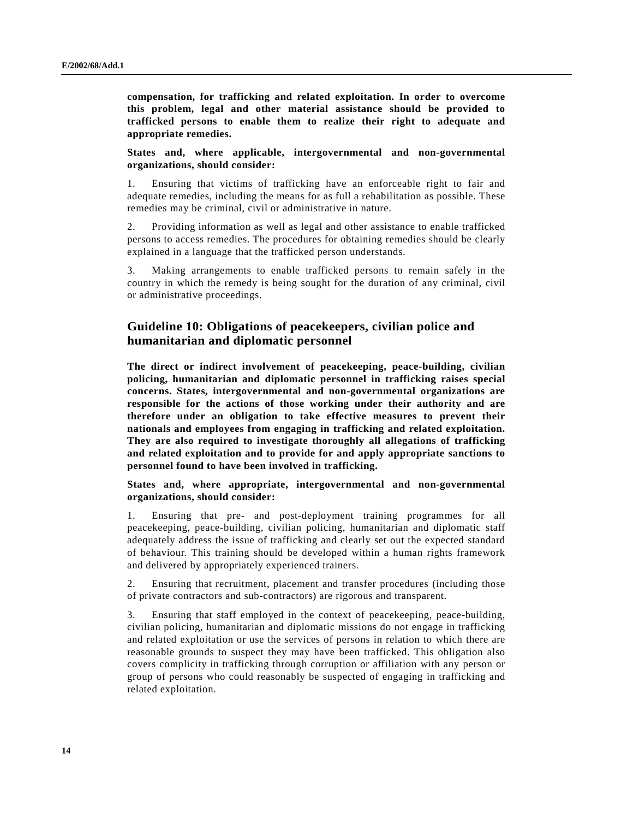**compensation, for trafficking and related exploitation. In order to overcome this problem, legal and other material assistance should be provided to trafficked persons to enable them to realize their right to adequate and appropriate remedies.**

**States and, where applicable, intergovernmental and non-governmental organizations, should consider:**

1. Ensuring that victims of trafficking have an enforceable right to fair and adequate remedies, including the means for as full a rehabilitation as possible. These remedies may be criminal, civil or administrative in nature.

2. Providing information as well as legal and other assistance to enable trafficked persons to access remedies. The procedures for obtaining remedies should be clearly explained in a language that the trafficked person understands.

3. Making arrangements to enable trafficked persons to remain safely in the country in which the remedy is being sought for the duration of any criminal, civil or administrative proceedings.

## **Guideline 10: Obligations of peacekeepers, civilian police and humanitarian and diplomatic personnel**

**The direct or indirect involvement of peacekeeping, peace-building, civilian policing, humanitarian and diplomatic personnel in trafficking raises special concerns. States, intergovernmental and non-governmental organizations are responsible for the actions of those working under their authority and are therefore under an obligation to take effective measures to prevent their nationals and employees from engaging in trafficking and related exploitation. They are also required to investigate thoroughly all allegations of trafficking and related exploitation and to provide for and apply appropriate sanctions to personnel found to have been involved in trafficking.**

**States and, where appropriate, intergovernmental and non-governmental organizations, should consider:**

1. Ensuring that pre- and post-deployment training programmes for all peacekeeping, peace-building, civilian policing, humanitarian and diplomatic staff adequately address the issue of trafficking and clearly set out the expected standard of behaviour. This training should be developed within a human rights framework and delivered by appropriately experienced trainers.

2. Ensuring that recruitment, placement and transfer procedures (including those of private contractors and sub-contractors) are rigorous and transparent.

3. Ensuring that staff employed in the context of peacekeeping, peace-building, civilian policing, humanitarian and diplomatic missions do not engage in trafficking and related exploitation or use the services of persons in relation to which there are reasonable grounds to suspect they may have been trafficked. This obligation also covers complicity in trafficking through corruption or affiliation with any person or group of persons who could reasonably be suspected of engaging in trafficking and related exploitation.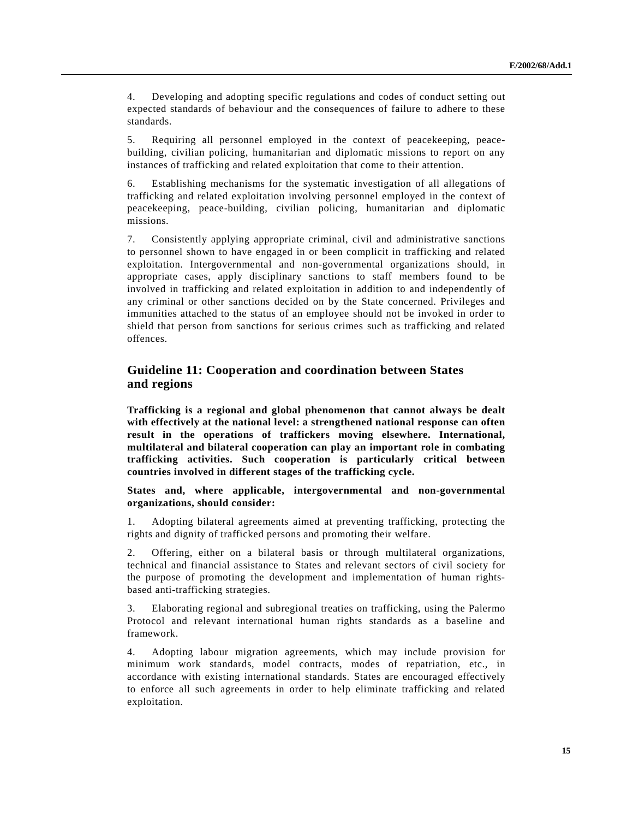4. Developing and adopting specific regulations and codes of conduct setting out expected standards of behaviour and the consequences of failure to adhere to these standards.

5. Requiring all personnel employed in the context of peacekeeping, peacebuilding, civilian policing, humanitarian and diplomatic missions to report on any instances of trafficking and related exploitation that come to their attention.

6. Establishing mechanisms for the systematic investigation of all allegations of trafficking and related exploitation involving personnel employed in the context of peacekeeping, peace-building, civilian policing, humanitarian and diplomatic missions.

7. Consistently applying appropriate criminal, civil and administrative sanctions to personnel shown to have engaged in or been complicit in trafficking and related exploitation. Intergovernmental and non-governmental organizations should, in appropriate cases, apply disciplinary sanctions to staff members found to be involved in trafficking and related exploitation in addition to and independently of any criminal or other sanctions decided on by the State concerned. Privileges and immunities attached to the status of an employee should not be invoked in order to shield that person from sanctions for serious crimes such as trafficking and related offences.

## **Guideline 11: Cooperation and coordination between States and regions**

**Trafficking is a regional and global phenomenon that cannot always be dealt with effectively at the national level: a strengthened national response can often result in the operations of traffickers moving elsewhere. International, multilateral and bilateral cooperation can play an important role in combating trafficking activities. Such cooperation is particularly critical between countries involved in different stages of the trafficking cycle.**

**States and, where applicable, intergovernmental and non-governmental organizations, should consider:**

1. Adopting bilateral agreements aimed at preventing trafficking, protecting the rights and dignity of trafficked persons and promoting their welfare.

2. Offering, either on a bilateral basis or through multilateral organizations, technical and financial assistance to States and relevant sectors of civil society for the purpose of promoting the development and implementation of human rightsbased anti-trafficking strategies.

3. Elaborating regional and subregional treaties on trafficking, using the Palermo Protocol and relevant international human rights standards as a baseline and framework.

4. Adopting labour migration agreements, which may include provision for minimum work standards, model contracts, modes of repatriation, etc., in accordance with existing international standards. States are encouraged effectively to enforce all such agreements in order to help eliminate trafficking and related exploitation.